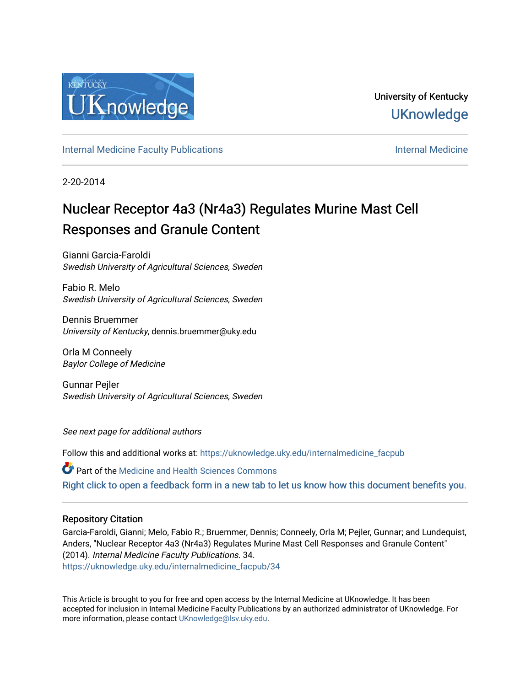

[Internal Medicine Faculty Publications](https://uknowledge.uky.edu/internalmedicine_facpub) **Internal Medicine** Internal Medicine

2-20-2014

# Nuclear Receptor 4a3 (Nr4a3) Regulates Murine Mast Cell Responses and Granule Content

Gianni Garcia-Faroldi Swedish University of Agricultural Sciences, Sweden

Fabio R. Melo Swedish University of Agricultural Sciences, Sweden

Dennis Bruemmer University of Kentucky, dennis.bruemmer@uky.edu

Orla M Conneely Baylor College of Medicine

Gunnar Pejler Swedish University of Agricultural Sciences, Sweden

See next page for additional authors

Follow this and additional works at: [https://uknowledge.uky.edu/internalmedicine\\_facpub](https://uknowledge.uky.edu/internalmedicine_facpub?utm_source=uknowledge.uky.edu%2Finternalmedicine_facpub%2F34&utm_medium=PDF&utm_campaign=PDFCoverPages) 

Part of the [Medicine and Health Sciences Commons](http://network.bepress.com/hgg/discipline/648?utm_source=uknowledge.uky.edu%2Finternalmedicine_facpub%2F34&utm_medium=PDF&utm_campaign=PDFCoverPages)  [Right click to open a feedback form in a new tab to let us know how this document benefits you.](https://uky.az1.qualtrics.com/jfe/form/SV_9mq8fx2GnONRfz7)

## Repository Citation

Garcia-Faroldi, Gianni; Melo, Fabio R.; Bruemmer, Dennis; Conneely, Orla M; Pejler, Gunnar; and Lundequist, Anders, "Nuclear Receptor 4a3 (Nr4a3) Regulates Murine Mast Cell Responses and Granule Content" (2014). Internal Medicine Faculty Publications. 34. [https://uknowledge.uky.edu/internalmedicine\\_facpub/34](https://uknowledge.uky.edu/internalmedicine_facpub/34?utm_source=uknowledge.uky.edu%2Finternalmedicine_facpub%2F34&utm_medium=PDF&utm_campaign=PDFCoverPages)

This Article is brought to you for free and open access by the Internal Medicine at UKnowledge. It has been accepted for inclusion in Internal Medicine Faculty Publications by an authorized administrator of UKnowledge. For more information, please contact [UKnowledge@lsv.uky.edu](mailto:UKnowledge@lsv.uky.edu).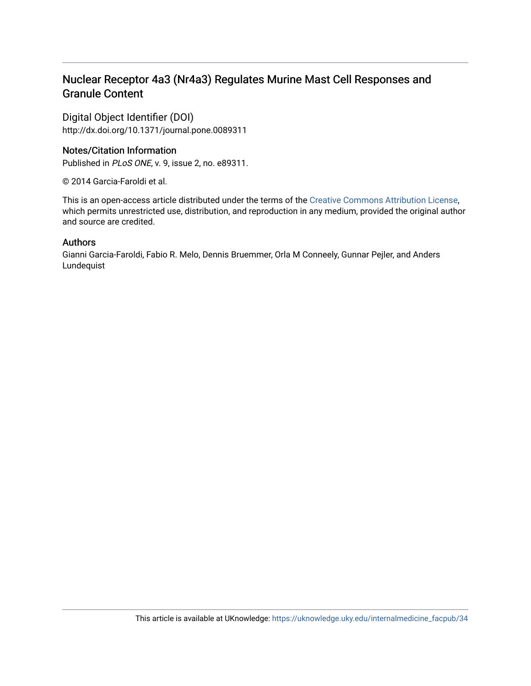## Nuclear Receptor 4a3 (Nr4a3) Regulates Murine Mast Cell Responses and Granule Content

Digital Object Identifier (DOI) http://dx.doi.org/10.1371/journal.pone.0089311

## Notes/Citation Information

Published in PLoS ONE, v. 9, issue 2, no. e89311.

© 2014 Garcia-Faroldi et al.

This is an open-access article distributed under the terms of the [Creative Commons Attribution License](http://creativecommons.org/licenses/by/4.0/), which permits unrestricted use, distribution, and reproduction in any medium, provided the original author and source are credited.

## Authors

Gianni Garcia-Faroldi, Fabio R. Melo, Dennis Bruemmer, Orla M Conneely, Gunnar Pejler, and Anders Lundequist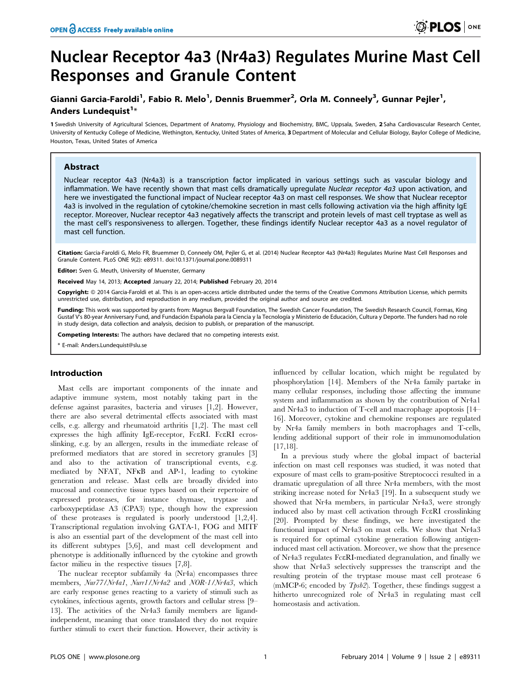## Nuclear Receptor 4a3 (Nr4a3) Regulates Murine Mast Cell Responses and Granule Content

## Gianni Garcia-Faroldi<sup>1</sup>, Fabio R. Melo<sup>1</sup>, Dennis Bruemmer<sup>2</sup>, Orla M. Conneely<sup>3</sup>, Gunnar Pejler<sup>1</sup>, Anders Lundequist<sup>1</sup>\*

1 Swedish University of Agricultural Sciences, Department of Anatomy, Physiology and Biochemistry, BMC, Uppsala, Sweden, 2 Saha Cardiovascular Research Center, University of Kentucky College of Medicine, Wethington, Kentucky, United States of America, 3 Department of Molecular and Cellular Biology, Baylor College of Medicine, Houston, Texas, United States of America

#### Abstract

Nuclear receptor 4a3 (Nr4a3) is a transcription factor implicated in various settings such as vascular biology and inflammation. We have recently shown that mast cells dramatically upregulate Nuclear receptor 4a3 upon activation, and here we investigated the functional impact of Nuclear receptor 4a3 on mast cell responses. We show that Nuclear receptor 4a3 is involved in the regulation of cytokine/chemokine secretion in mast cells following activation via the high affinity IgE receptor. Moreover, Nuclear receptor 4a3 negatively affects the transcript and protein levels of mast cell tryptase as well as the mast cell's responsiveness to allergen. Together, these findings identify Nuclear receptor 4a3 as a novel regulator of mast cell function.

Citation: Garcia-Faroldi G, Melo FR, Bruemmer D, Conneely OM, Pejler G, et al. (2014) Nuclear Receptor 4a3 (Nr4a3) Regulates Murine Mast Cell Responses and Granule Content. PLoS ONE 9(2): e89311. doi:10.1371/journal.pone.0089311

Editor: Sven G. Meuth, University of Muenster, Germany

Received May 14, 2013; Accepted January 22, 2014; Published February 20, 2014

Copyright: © 2014 Garcia-Faroldi et al. This is an open-access article distributed under the terms of the [Creative Commons Attribution License](http://creativecommons.org/licenses/by/4.0/), which permits unrestricted use, distribution, and reproduction in any medium, provided the original author and source are credited.

Funding: This work was supported by grants from: Magnus Bergvall Foundation, The Swedish Cancer Foundation, The Swedish Research Council, Formas, King Gustaf V's 80-year Anniversary Fund, and Fundación Española para la Ciencia y la Tecnología y Ministerio de Educación, Cultura y Deporte. The funders had no role in study design, data collection and analysis, decision to publish, or preparation of the manuscript.

Competing Interests: The authors have declared that no competing interests exist.

\* E-mail: Anders.Lundequist@slu.se

#### Introduction

Mast cells are important components of the innate and adaptive immune system, most notably taking part in the defense against parasites, bacteria and viruses [1,2]. However, there are also several detrimental effects associated with mast cells, e.g. allergy and rheumatoid arthritis [1,2]. The mast cell expresses the high affinity IgE-receptor, FceRI. FceRI ecrosslinking, e.g. by an allergen, results in the immediate release of preformed mediators that are stored in secretory granules [3] and also to the activation of transcriptional events, e.g. mediated by NFAT, NFkB and AP-1, leading to cytokine generation and release. Mast cells are broadly divided into mucosal and connective tissue types based on their repertoire of expressed proteases, for instance chymase, tryptase and carboxypeptidase A3 (CPA3) type, though how the expression of these proteases is regulated is poorly understood [1,2,4]. Transcriptional regulation involving GATA-1, FOG and MITF is also an essential part of the development of the mast cell into its different subtypes [5,6], and mast cell development and phenotype is additionally influenced by the cytokine and growth factor milieu in the respective tissues [7,8].

The nuclear receptor subfamily 4a (Nr4a) encompasses three members, Nur77/Nr4a1, Nurr1/Nr4a2 and NOR-1/Nr4a3, which are early response genes reacting to a variety of stimuli such as cytokines, infectious agents, growth factors and cellular stress [9– 13]. The activities of the Nr4a3 family members are ligandindependent, meaning that once translated they do not require further stimuli to exert their function. However, their activity is

influenced by cellular location, which might be regulated by phosphorylation [14]. Members of the Nr4a family partake in many cellular responses, including those affecting the immune system and inflammation as shown by the contribution of Nr4a1 and Nr4a3 to induction of T-cell and macrophage apoptosis [14– 16]. Moreover, cytokine and chemokine responses are regulated by Nr4a family members in both macrophages and T-cells, lending additional support of their role in immunomodulation [17,18].

In a previous study where the global impact of bacterial infection on mast cell responses was studied, it was noted that exposure of mast cells to gram-positive Streptococci resulted in a dramatic upregulation of all three Nr4a members, with the most striking increase noted for Nr4a3 [19]. In a subsequent study we showed that Nr4a members, in particular Nr4a3, were strongly induced also by mast cell activation through FceRI crosslinking [20]. Prompted by these findings, we here investigated the functional impact of Nr4a3 on mast cells. We show that Nr4a3 is required for optimal cytokine generation following antigeninduced mast cell activation. Moreover, we show that the presence of Nr4a3 regulates FceRI-mediated degranulation, and finally we show that Nr4a3 selectively suppresses the transcript and the resulting protein of the tryptase mouse mast cell protease 6 (mMCP-6; encoded by  $Tpsb2$ ). Together, these findings suggest a hitherto unrecognized role of Nr4a3 in regulating mast cell homeostasis and activation.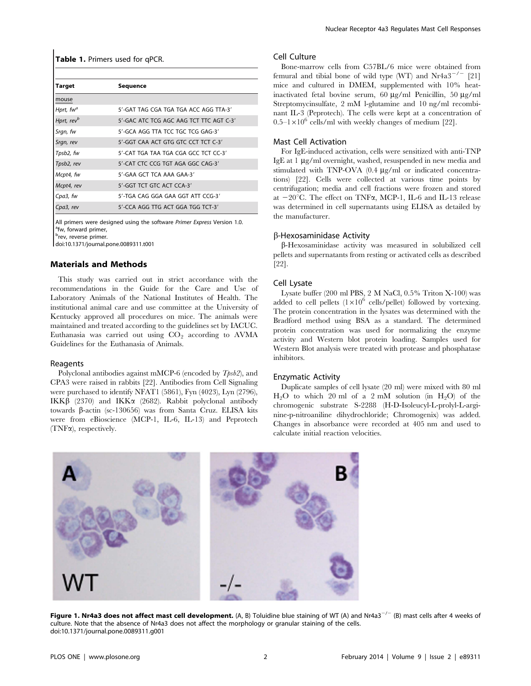Table 1. Primers used for qPCR.

| Target                 | Sequence                                |
|------------------------|-----------------------------------------|
| mouse                  |                                         |
| Hprt, fw <sup>a</sup>  | 5'-GAT TAG CGA TGA TGA ACC AGG TTA-3'   |
| Hprt, rev <sup>b</sup> | 5'-GAC ATC TCG AGC AAG TCT TTC AGT C-3' |
| Srgn, fw               | 5'-GCA AGG TTA TCC TGC TCG GAG-3'       |
| Srgn, rev              | 5'-GGT CAA ACT GTG GTC CCT TCT C-3'     |
| Tpsb2, fw              | 5'-CAT TGA TAA TGA CGA GCC TCT CC-3'    |
| Tpsb2, rev             | 5'-CAT CTC CCG TGT AGA GGC CAG-3'       |
| Mcpt4, fw              | 5'-GAA GCT TCA AAA GAA-3'               |
| Mcpt4, rev             | 5'-GGT TCT GTC ACT CCA-3'               |
| Cpa3, fw               | 5'-TGA CAG GGA GAA GGT ATT CCG-3'       |
| Cpa3, rev              | 5'-CCA AGG TTG ACT GGA TGG TCT-3'       |

All primers were designed using the software Primer Express Version 1.0. <sup>a</sup>fw, forward primer.

<sup>b</sup>rev, reverse primer.

doi:10.1371/journal.pone.0089311.t001

#### Materials and Methods

This study was carried out in strict accordance with the recommendations in the Guide for the Care and Use of Laboratory Animals of the National Institutes of Health. The institutional animal care and use committee at the University of Kentucky approved all procedures on mice. The animals were maintained and treated according to the guidelines set by IACUC. Euthanasia was carried out using  $CO<sub>2</sub>$  according to AVMA Guidelines for the Euthanasia of Animals.

#### Reagents

Polyclonal antibodies against mMCP-6 (encoded by  $Tpsb2$ ), and CPA3 were raised in rabbits [22]. Antibodies from Cell Signaling were purchased to identify NFAT1 (5861), Fyn (4023), Lyn (2796), IKK $\beta$  (2370) and IKK $\alpha$  (2682). Rabbit polyclonal antibody towards β-actin (sc-130656) was from Santa Cruz. ELISA kits were from eBioscience (MCP-1, IL-6, IL-13) and Peprotech (TNFa), respectively.

#### Cell Culture

Bone-marrow cells from C57BL/6 mice were obtained from femural and tibial bone of wild type (WT) and  $Nr4a3^{-/-}$  [21] mice and cultured in DMEM, supplemented with 10% heatinactivated fetal bovine serum, 60  $\mu$ g/ml Penicillin, 50  $\mu$ g/ml Streptomycinsulfate, 2 mM l-glutamine and 10 ng/ml recombinant IL-3 (Peprotech). The cells were kept at a concentration of  $0.5-1\times10^6$  cells/ml with weekly changes of medium [22].

#### Mast Cell Activation

For IgE-induced activation, cells were sensitized with anti-TNP IgE at  $1 \mu$ g/ml overnight, washed, resuspended in new media and stimulated with TNP-OVA (0.4 µg/ml or indicated concentrations) [22]. Cells were collected at various time points by centrifugation; media and cell fractions were frozen and stored at  $-20^{\circ}$ C. The effect on TNF $\alpha$ , MCP-1, IL-6 and IL-13 release was determined in cell supernatants using ELISA as detailed by the manufacturer.

#### b-Hexosaminidase Activity

b-Hexosaminidase activity was measured in solubilized cell pellets and supernatants from resting or activated cells as described [22].

#### Cell Lysate

Lysate buffer (200 ml PBS, 2 M NaCl, 0.5% Triton X-100) was added to cell pellets  $(1\times10^6$  cells/pellet) followed by vortexing. The protein concentration in the lysates was determined with the Bradford method using BSA as a standard. The determined protein concentration was used for normalizing the enzyme activity and Western blot protein loading. Samples used for Western Blot analysis were treated with protease and phosphatase inhibitors.

#### Enzymatic Activity

Duplicate samples of cell lysate (20 ml) were mixed with 80 ml  $H_2O$  to which 20 ml of a 2 mM solution (in  $H_2O$ ) of the chromogenic substrate S-2288 (H-D-Isoleucyl-L-prolyl-L-arginine-p-nitroaniline dihydrochloride; Chromogenix) was added. Changes in absorbance were recorded at 405 nm and used to calculate initial reaction velocities.



Figure 1. Nr4a3 does not affect mast cell development. (A, B) Toluidine blue staining of WT (A) and Nr4a3<sup>-/-</sup> (B) mast cells after 4 weeks of culture. Note that the absence of Nr4a3 does not affect the morphology or granular staining of the cells. doi:10.1371/journal.pone.0089311.g001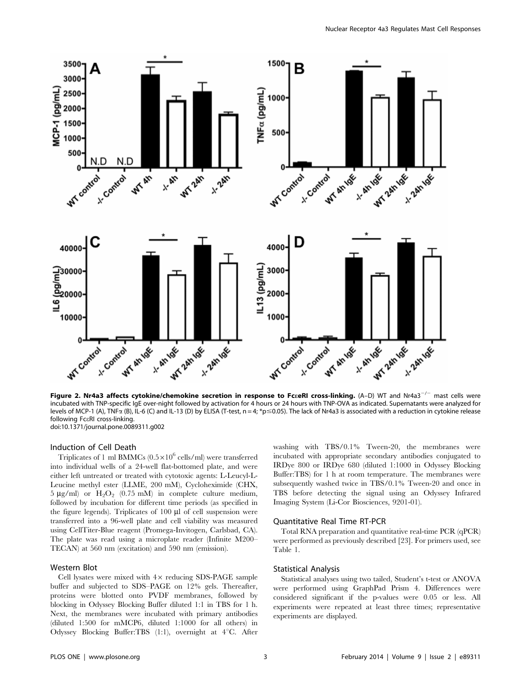

Figure 2. Nr4a3 affects cytokine/chemokine secretion in response to Fc*zeRI cross-linking*. (A–D) WT and Nr4a3<sup>-/-</sup> mast cells were incubated with TNP-specific IgE over-night followed by activation for 4 hours or 24 hours with TNP-OVA as indicated. Supernatants were analyzed for levels of MCP-1 (A), TNF $\alpha$  (B), IL-6 (C) and IL-13 (D) by ELISA (T-test, n = 4; \*p  $\leq$  0.05). The lack of Nr4a3 is associated with a reduction in cytokine release following FceRI cross-linking. doi:10.1371/journal.pone.0089311.g002

#### Induction of Cell Death

Triplicates of 1 ml BMMCs  $(0.5 \times 10^6 \text{ cells/ml})$  were transferred into individual wells of a 24-well flat-bottomed plate, and were either left untreated or treated with cytotoxic agents: L-Leucyl-L-Leucine methyl ester (LLME, 200 mM), Cycloheximide (CHX,  $5 \mu$ g/ml) or  $H_2O_2$  (0.75 mM) in complete culture medium, followed by incubation for different time periods (as specified in the figure legends). Triplicates of  $100 \mu l$  of cell suspension were transferred into a 96-well plate and cell viability was measured using CellTiter-Blue reagent (Promega-Invitogen, Carlsbad, CA). The plate was read using a microplate reader (Infinite M200– TECAN) at 560 nm (excitation) and 590 nm (emission).

#### Western Blot

Cell lysates were mixed with  $4\times$  reducing SDS-PAGE sample buffer and subjected to SDS–PAGE on 12% gels. Thereafter, proteins were blotted onto PVDF membranes, followed by blocking in Odyssey Blocking Buffer diluted 1:1 in TBS for 1 h. Next, the membranes were incubated with primary antibodies (diluted 1:500 for mMCP6, diluted 1:1000 for all others) in Odyssey Blocking Buffer: TBS  $(1:1)$ , overnight at  $4^{\circ}$ C. After washing with TBS/0.1% Tween-20, the membranes were incubated with appropriate secondary antibodies conjugated to IRDye 800 or IRDye 680 (diluted 1:1000 in Odyssey Blocking Buffer:TBS) for 1 h at room temperature. The membranes were subsequently washed twice in TBS/0.1% Tween-20 and once in TBS before detecting the signal using an Odyssey Infrared Imaging System (Li-Cor Biosciences, 9201-01).

#### Quantitative Real Time RT-PCR

Total RNA preparation and quantitative real-time PCR (qPCR) were performed as previously described [23]. For primers used, see Table 1.

#### Statistical Analysis

Statistical analyses using two tailed, Student's t-test or ANOVA were performed using GraphPad Prism 4. Differences were considered significant if the p-values were 0.05 or less. All experiments were repeated at least three times; representative experiments are displayed.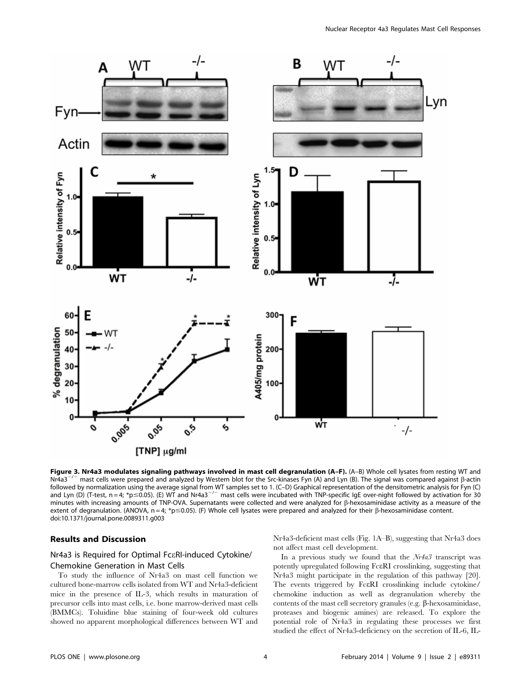

**Figure 3. Nr4a3 modulates signaling pathways involved in mast cell degranulation (A–F).** (A–B) Whole cell lysates from resting WT and Nr4a3<sup>-/-</sup> mast cells were prepared and analyzed by Western blot for the Src-kinases F  $^-$  mast cells were prepared and analyzed by Western blot for the Src-kinases Fyn (A) and Lyn (B). The signal was compared against ß-actin followed by normalization using the average signal from WT samples set to 1. (C–D) Graphical representation of the densitometric analysis for Fyn (C) and Lyn (D) (T-test, n = 4; \*p ≤0.05). (E) WT and Nr4a3<sup>-/-</sup> mast cells were incubated with TNP-specific IgE over-night followed by activation for 30 minutes with increasing amounts of TNP-OVA. Supernatants were collected and were analyzed for  $\beta$ -hexosaminidase activity as a measure of the extent of degranulation. (ANOVA,  $n = 4$ ; \*p  $\leq$  0.05). (F) Whole cell lysates were prepared and analyzed for their  $\beta$ -hexosaminidase content. doi:10.1371/journal.pone.0089311.g003

#### Results and Discussion

#### Nr4a3 is Required for Optimal FceRI-induced Cytokine/ Chemokine Generation in Mast Cells

To study the influence of Nr4a3 on mast cell function we cultured bone-marrow cells isolated from WT and Nr4a3-deficient mice in the presence of IL-3, which results in maturation of precursor cells into mast cells, i.e. bone marrow-derived mast cells (BMMCs). Toluidine blue staining of four-week old cultures showed no apparent morphological differences between WT and

Nr4a3-deficient mast cells (Fig. 1A–B), suggesting that Nr4a3 does not affect mast cell development.

In a previous study we found that the Nr4a3 transcript was potently upregulated following FceRI crosslinking, suggesting that Nr4a3 might participate in the regulation of this pathway [20]. The events triggered by FceRI crosslinking include cytokine/ chemokine induction as well as degranulation whereby the contents of the mast cell secretory granules (e.g.  $\beta$ -hexosaminidase, proteases and biogenic amines) are released. To explore the potential role of Nr4a3 in regulating these processes we first studied the effect of Nr4a3-deficiency on the secretion of IL-6, IL-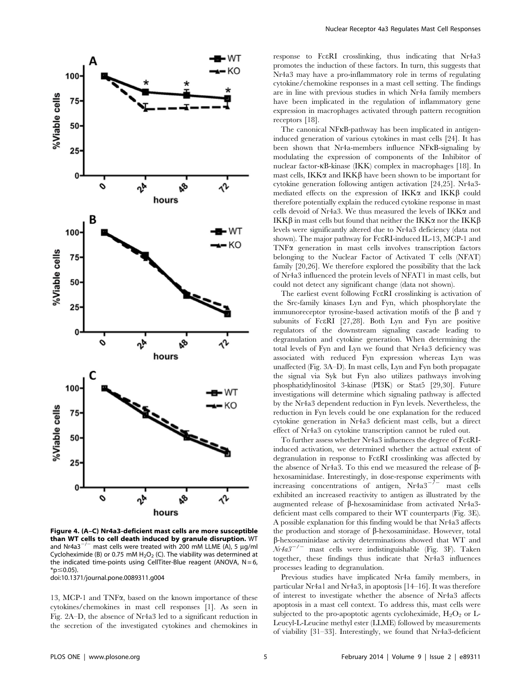

Figure 4. (A–C) Nr4a3-deficient mast cells are more susceptible than WT cells to cell death induced by granule disruption. WT and Nr4a3<sup>-/-</sup> mast cells were treated with 200 mM LLME (A), 5  $\mu$ q/ml Cycloheximide (B) or 0.75 mM  $H_2O_2$  (C). The viability was determined at the indicated time-points using CellTiter-Blue reagent (ANOVA,  $N = 6$ ,  $*$ p $\leq$ 0.05).

doi:10.1371/journal.pone.0089311.g004

13, MCP-1 and TNFa, based on the known importance of these cytokines/chemokines in mast cell responses [1]. As seen in Fig. 2A–D, the absence of Nr4a3 led to a significant reduction in the secretion of the investigated cytokines and chemokines in response to FceRI crosslinking, thus indicating that Nr4a3 promotes the induction of these factors. In turn, this suggests that Nr4a3 may have a pro-inflammatory role in terms of regulating cytokine/chemokine responses in a mast cell setting. The findings are in line with previous studies in which Nr4a family members have been implicated in the regulation of inflammatory gene expression in macrophages activated through pattern recognition receptors [18].

The canonical NFkB-pathway has been implicated in antigeninduced generation of various cytokines in mast cells [24]. It has been shown that Nr4a-members influence NFkB-signaling by modulating the expression of components of the Inhibitor of nuclear factor-kB-kinase (IKK) complex in macrophages [18]. In mast cells, IKK $\alpha$  and IKK $\beta$  have been shown to be important for cytokine generation following antigen activation [24,25]. Nr4a3 mediated effects on the expression of  $IKK\alpha$  and  $IKK\beta$  could therefore potentially explain the reduced cytokine response in mast cells devoid of Nr4a3. We thus measured the levels of  $IKK\alpha$  and IKK $\beta$  in mast cells but found that neither the IKK $\alpha$  nor the IKK $\beta$ levels were significantly altered due to Nr4a3 deficiency (data not shown). The major pathway for FceRI-induced IL-13, MCP-1 and TNFa generation in mast cells involves transcription factors belonging to the Nuclear Factor of Activated T cells (NFAT) family [20,26]. We therefore explored the possibility that the lack of Nr4a3 influenced the protein levels of NFAT1 in mast cells, but could not detect any significant change (data not shown).

The earliest event following FceRI crosslinking is activation of the Src-family kinases Lyn and Fyn, which phosphorylate the immunoreceptor tyrosine-based activation motifs of the  $\beta$  and  $\gamma$ subunits of FceRI [27,28]. Both Lyn and Fyn are positive regulators of the downstream signaling cascade leading to degranulation and cytokine generation. When determining the total levels of Fyn and Lyn we found that Nr4a3 deficiency was associated with reduced Fyn expression whereas Lyn was unaffected (Fig. 3A–D). In mast cells, Lyn and Fyn both propagate the signal via Syk but Fyn also utilizes pathways involving phosphatidylinositol 3-kinase (PI3K) or Stat5 [29,30]. Future investigations will determine which signaling pathway is affected by the Nr4a3 dependent reduction in Fyn levels. Nevertheless, the reduction in Fyn levels could be one explanation for the reduced cytokine generation in Nr4a3 deficient mast cells, but a direct effect of Nr4a3 on cytokine transcription cannot be ruled out.

To further assess whether Nr4a3 influences the degree of FceRIinduced activation, we determined whether the actual extent of degranulation in response to FceRI crosslinking was affected by the absence of Nr4a3. To this end we measured the release of  $\beta$ hexosaminidase. Interestingly, in dose-response experiments with increasing concentrations of antigen,  $Nr4a3^{-/-}$  mast cells exhibited an increased reactivity to antigen as illustrated by the augmented release of  $\beta$ -hexosaminidase from activated Nr4a3deficient mast cells compared to their WT counterparts (Fig. 3E). A possible explanation for this finding would be that Nr4a3 affects the production and storage of  $\beta$ -hexosaminidase. However, total b-hexosaminidase activity determinations showed that WT and  $Nr4a3^{-/-}$  mast cells were indistinguishable (Fig. 3F). Taken together, these findings thus indicate that Nr4a3 influences processes leading to degranulation.

Previous studies have implicated Nr4a family members, in particular Nr4a1 and Nr4a3, in apoptosis [14–16]. It was therefore of interest to investigate whether the absence of Nr4a3 affects apoptosis in a mast cell context. To address this, mast cells were subjected to the pro-apoptotic agents cycloheximide,  $H_2O_2$  or L-Leucyl-L-Leucine methyl ester (LLME) followed by measurements of viability [31–33]. Interestingly, we found that Nr4a3-deficient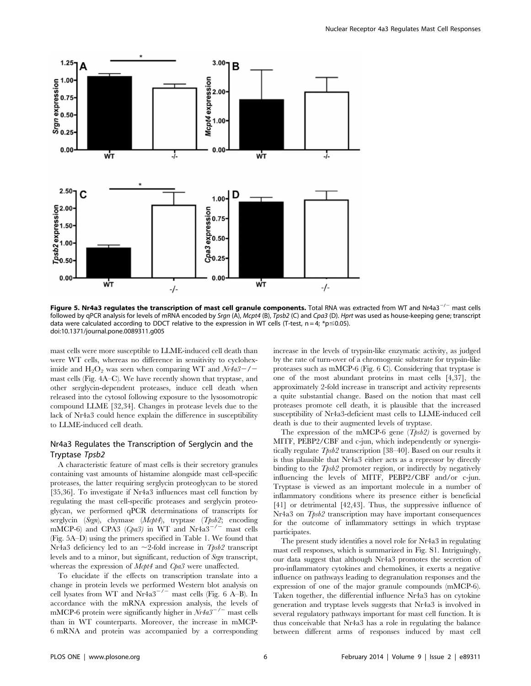

Figure 5. Nr4a3 regulates the transcription of mast cell granule components. Total RNA was extracted from WT and Nr4a3<sup>-/-</sup> mast cells followed by qPCR analysis for levels of mRNA encoded by Srgn (A), Mcpt4 (B), Tpsb2 (C) and Cpa3 (D). Hprt was used as house-keeping gene; transcript data were calculated according to DDCT relative to the expression in WT cells (T-test,  $n = 4$ ;  $*p \le 0.05$ ). doi:10.1371/journal.pone.0089311.g005

mast cells were more susceptible to LLME-induced cell death than were WT cells, whereas no difference in sensitivity to cycloheximide and  $H_2O_2$  was seen when comparing WT and  $Nr4a3-/$ mast cells (Fig. 4A–C). We have recently shown that tryptase, and other serglycin-dependent proteases, induce cell death when released into the cytosol following exposure to the lysosomotropic compound LLME [32,34]. Changes in protease levels due to the lack of Nr4a3 could hence explain the difference in susceptibility to LLME-induced cell death.

#### Nr4a3 Regulates the Transcription of Serglycin and the Tryptase Tpsb2

A characteristic feature of mast cells is their secretory granules containing vast amounts of histamine alongside mast cell-specific proteases, the latter requiring serglycin proteoglycan to be stored [35,36]. To investigate if Nr4a3 influences mast cell function by regulating the mast cell-specific proteases and serglycin proteoglycan, we performed qPCR determinations of transcripts for serglycin (Srgn), chymase (Mcpt4), tryptase (Tpsb2; encoding mMCP-6) and CPA3 (Cpa3) in WT and Nr4a3<sup>-/-</sup> mast cells (Fig. 5A–D) using the primers specified in Table 1. We found that Nr4a3 deficiency led to an  $\sim$ 2-fold increase in *Tpsb2* transcript levels and to a minor, but significant, reduction of Srgn transcript, whereas the expression of *Mcpt4* and *Cpa3* were unaffected.

To elucidate if the effects on transcription translate into a change in protein levels we performed Western blot analysis on cell lysates from WT and  $Nr4a3^{-/-}$  mast cells (Fig. 6 A–B). In accordance with the mRNA expression analysis, the levels of mMCP-6 protein were significantly higher in  $Nr4a3^{-7}$  mast cells than in WT counterparts. Moreover, the increase in mMCP-6 mRNA and protein was accompanied by a corresponding

increase in the levels of trypsin-like enzymatic activity, as judged by the rate of turn-over of a chromogenic substrate for trypsin-like proteases such as mMCP-6 (Fig. 6 C). Considering that tryptase is one of the most abundant proteins in mast cells [4,37], the approximately 2-fold increase in transcript and activity represents a quite substantial change. Based on the notion that mast cell proteases promote cell death, it is plausible that the increased susceptibility of Nr4a3-deficient mast cells to LLME-induced cell death is due to their augmented levels of tryptase.

The expression of the mMCP-6 gene  $(Tpsb2)$  is governed by MITF, PEBP2/CBF and c-jun, which independently or synergistically regulate  $Tpsb2$  transcription [38–40]. Based on our results it is thus plausible that Nr4a3 either acts as a repressor by directly binding to the  $Tpsb2$  promoter region, or indirectly by negatively influencing the levels of MITF, PEBP2/CBF and/or c-jun. Tryptase is viewed as an important molecule in a number of inflammatory conditions where its presence either is beneficial [41] or detrimental [42,43]. Thus, the suppressive influence of Nr4a3 on Tpsb2 transcription may have important consequences for the outcome of inflammatory settings in which tryptase participates.

The present study identifies a novel role for Nr4a3 in regulating mast cell responses, which is summarized in Fig. S1. Intriguingly, our data suggest that although Nr4a3 promotes the secretion of pro-inflammatory cytokines and chemokines, it exerts a negative influence on pathways leading to degranulation responses and the expression of one of the major granule compounds (mMCP-6). Taken together, the differential influence Nr4a3 has on cytokine generation and tryptase levels suggests that Nr4a3 is involved in several regulatory pathways important for mast cell function. It is thus conceivable that Nr4a3 has a role in regulating the balance between different arms of responses induced by mast cell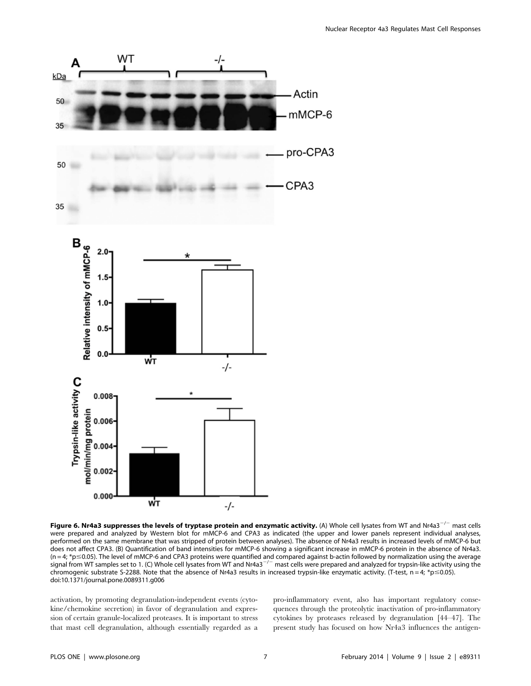

Figure 6. Nr4a3 suppresses the levels of tryptase protein and enzymatic activity. (A) Whole cell lysates from WT and Nr4a3<sup>-/-</sup> mast cells were prepared and analyzed by Western blot for mMCP-6 and CPA3 as indicated (the upper and lower panels represent individual analyses, performed on the same membrane that was stripped of protein between analyses). The absence of Nr4a3 results in increased levels of mMCP-6 but does not affect CPA3. (B) Quantification of band intensities for mMCP-6 showing a significant increase in mMCP-6 protein in the absence of Nr4a3.  $(n=4; *p \le 0.05)$ . The level of mMCP-6 and CPA3 proteins were quantified and compared against b-actin followed by normalization using the average signal from WT samples set to 1. (C) Whole cell lysates from WT and Nr4a3<sup>-/-</sup> mast cells were prepared and analyzed for trypsin-like activity using the chromogenic substrate S-2288. Note that the absence of Nr4a3 results in increased trypsin-like enzymatic activity. (T-test,  $n = 4$ ;  $*p \le 0.05$ ). doi:10.1371/journal.pone.0089311.g006

activation, by promoting degranulation-independent events (cytokine/chemokine secretion) in favor of degranulation and expression of certain granule-localized proteases. It is important to stress that mast cell degranulation, although essentially regarded as a

pro-inflammatory event, also has important regulatory consequences through the proteolytic inactivation of pro-inflammatory cytokines by proteases released by degranulation [44–47]. The present study has focused on how Nr4a3 influences the antigen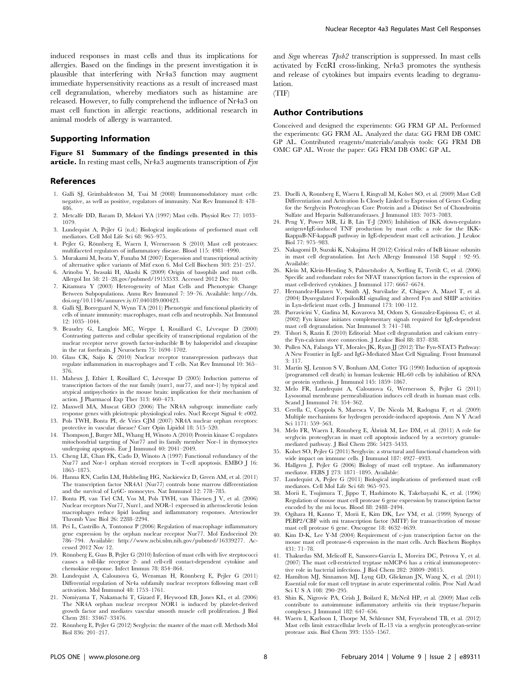induced responses in mast cells and thus its implications for allergies. Based on the findings in the present investigation it is plausible that interfering with Nr4a3 function may augment immediate hypersensitivity reactions as a result of increased mast cell degranulation, whereby mediators such as histamine are released. However, to fully comprehend the influence of Nr4a3 on mast cell function in allergic reactions, additional research in animal models of allergy is warranted.

#### Supporting Information

Figure S1 Summary of the findings presented in this **article.** In resting mast cells, Nr4a3 augments transcription of  $Fyn$ 

#### References

- 1. Galli SJ, Grimbaldeston M, Tsai M (2008) Immunomodulatory mast cells: negative, as well as positive, regulators of immunity. Nat Rev Immunol 8: 478– 486.
- 2. Metcalfe DD, Baram D, Mekori YA (1997) Mast cells. Physiol Rev 77: 1033– 1079.
- 3. Lundequist A, Pejler G (n.d.) Biological implications of preformed mast cell mediators. Cell Mol Life Sci 68: 965–975.
- 4. Pejler G, Rönnberg E, Waern I, Wernersson S (2010) Mast cell proteases: multifaceted regulators of inflammatory disease. Blood 115: 4981–4990.
- 5. Murakami M, Iwata Y, Funaba M (2007) Expression and transcriptional activity of alternative splice variants of Mitf exon 6. Mol Cell Biochem 303: 251–257.
- 6. Arinobu Y, Iwasaki H, Akashi K (2009) Origin of basophils and mast cells. Allergol Int 58: 21–28.gov/pubmed/19153533. Accessed 2012 Dec 10.
- 7. Kitamura Y (2003) Heterogeneity of Mast Cells and Phenotypic Change Between Subpopulations. Annu Rev Immunol 7: 59–76. Available: http://dx. doi.org/10.1146/annurev.iy.07.040189.000423.
- 8. Galli SJ, Borregaard N, Wynn TA (2011) Phenotypic and functional plasticity of cells of innate immunity: macrophages, mast cells and neutrophils. Nat Immunol 12: 1035–1044.
- 9. Beaudry G, Langlois MC, Weppe I, Rouillard C, Lévesque D (2000) Contrasting patterns and cellular specificity of transcriptional regulation of the nuclear receptor nerve growth factor-inducible B by haloperidol and clozapine in the rat forebrain. J Neurochem 75: 1694–1702.
- 10. Glass CK, Saijo K (2010) Nuclear receptor transrepression pathways that regulate inflammation in macrophages and T cells. Nat Rev Immunol 10: 365– 376.
- 11. Maheux J, Ethier I, Rouillard C, Lévesque D (2005) Induction patterns of transcription factors of the nur family (nurr1, nur77, and nor-1) by typical and atypical antipsychotics in the mouse brain: implication for their mechanism of action. J Pharmacol Exp Ther 313: 460–473.
- 12. Maxwell MA, Muscat GEO (2006) The NR4A subgroup: immediate early response genes with pleiotropic physiological roles. Nucl Recept Signal 4: e002.
- 13. Pols TWH, Bonta PI, de Vries CJM (2007) NR4A nuclear orphan receptors: protective in vascular disease? Curr Opin Lipidol 18: 515–520.
- 14. Thompson J, Burger ML, Whang H, Winoto A (2010) Protein kinase C regulates mitochondrial targeting of Nur77 and its family member Nor-1 in thymocytes undergoing apoptosis. Eur J Immunol 40: 2041–2049.
- 15. Cheng LE, Chan FK, Cado D, Winoto A (1997) Functional redundancy of the Nur77 and Nor-1 orphan steroid receptors in T-cell apoptosis. EMBO J 16: 1865–1875.
- 16. Hanna RN, Carlin LM, Hubbeling HG, Nackiewicz D, Green AM, et al. (2011) The transcription factor NR4A1 (Nur77) controls bone marrow differentiation and the survival of Ly6C- monocytes. Nat Immunol 12: 778–785.
- 17. Bonta PI, van Tiel CM, Vos M, Pols TWH, van Thienen J V, et al. (2006) Nuclear receptors Nur77, Nurr1, and NOR-1 expressed in atherosclerotic lesion macrophages reduce lipid loading and inflammatory responses. Arterioscler Thromb Vasc Biol 26: 2288–2294.
- 18. Pei L, Castrillo A, Tontonoz P (2006) Regulation of macrophage inflammatory gene expression by the orphan nuclear receptor Nur77. Mol Endocrinol 20: 786–794. Available: http://www.ncbi.nlm.nih.gov/pubmed/16339277. Accessed 2012 Nov 12.
- 19. Rönnberg E, Guss B, Pejler G (2010) Infection of mast cells with live streptococci causes a toll-like receptor 2- and cell-cell contact-dependent cytokine and chemokine response. Infect Immun 78: 854–864.
- 20. Lundequist A, Calounova G, Wensman H, Rönnberg E, Pejler G (2011) Differential regulation of Nr4a subfamily nuclear receptors following mast cell activation. Mol Immunol 48: 1753–1761.
- 21. Nomiyama T, Nakamachi T, Gizard F, Heywood EB, Jones KL, et al. (2006) The NR4A orphan nuclear receptor NOR1 is induced by platelet-derived growth factor and mediates vascular smooth muscle cell proliferation. J Biol Chem 281: 33467–33476.
- 22. Ro¨nnberg E, Pejler G (2012) Serglycin: the master of the mast cell. Methods Mol Biol 836: 201–217.

and Srgn whereas Tpsb2 transcription is suppressed. In mast cells activated by FceRI cross-linking, Nr4a3 promotes the synthesis and release of cytokines but impairs events leading to degranulation.

(TIF)

#### Author Contributions

Conceived and designed the experiments: GG FRM GP AL. Performed the experiments: GG FRM AL. Analyzed the data: GG FRM DB OMC GP AL. Contributed reagents/materials/analysis tools: GG FRM DB OMC GP AL. Wrote the paper: GG FRM DB OMC GP AL.

- 23. Duelli A, Ronnberg E, Waern I, Ringvall M, Kolset SO, et al. (2009) Mast Cell Differentiation and Activation Is Closely Linked to Expression of Genes Coding for the Serglycin Proteoglycan Core Protein and a Distinct Set of Chondroitin Sulfate and Heparin Sulfotransferases. J Immunol 183: 7073–7083.
- 24. Peng Y, Power MR, Li B, Lin T-J (2005) Inhibition of IKK down-regulates antigen+IgE-induced TNF production by mast cells: a role for the IKK-IkappaB-NF-kappaB pathway in IgE-dependent mast cell activation. J Leukoc Biol 77: 975–983.
- 25. Nakagomi D, Suzuki K, Nakajima H (2012) Critical roles of IkB kinase subunits in mast cell degranulation. Int Arch Allergy Immunol 158 Suppl : 92–95. Available:
- 26. Klein M, Klein-Hessling S, Palmetshofer A, Serfling E, Tertilt C, et al. (2006) Specific and redundant roles for NFAT transcription factors in the expression of mast cell-derived cytokines. J Immunol 177: 6667–6674.
- 27. Hernandez-Hansen V, Smith AJ, Surviladze Z, Chigaev A, Mazel T, et al. (2004) Dysregulated FcepsilonRI signaling and altered Fyn and SHIP activities in Lyn-deficient mast cells. J Immunol 173: 100–112.
- 28. Parravicini V, Gadina M, Kovarova M, Odom S, Gonzalez-Espinosa C, et al. (2002) Fyn kinase initiates complementary signals required for IgE-dependent mast cell degranulation. Nat Immunol 3: 741–748.
- 29. Tshori S, Razin E (2010) Editorial: Mast cell degranulation and calcium entry– the Fyn-calcium store connection. J Leukoc Biol 88: 837–838.
- 30. Pullen NA, Falanga YT, Morales JK, Ryan JJ (2012) The Fyn-STAT5 Pathway: A New Frontier in IgE- and IgG-Mediated Mast Cell Signaling. Front Immunol 3: 117.
- 31. Martin SJ, Lennon S V, Bonham AM, Cotter TG (1990) Induction of apoptosis (programmed cell death) in human leukemic HL-60 cells by inhibition of RNA or protein synthesis. J Immunol 145: 1859–1867.
- 32. Melo FR, Lundequist A, Calounova G, Wernersson S, Pejler G (2011) Lysosomal membrane permeabilization induces cell death in human mast cells. Scand J Immunol 74: 354–362.
- 33. Cerella C, Coppola S, Maresca V, De Nicola M, Radogna F, et al. (2009) Multiple mechanisms for hydrogen peroxide-induced apoptosis. Ann N Y Acad Sci 1171: 559–563.
- 34. Melo FR, Waern I, Rönnberg E, Åbrink M, Lee DM, et al. (2011) A role for serglycin proteoglycan in mast cell apoptosis induced by a secretory granulemediated pathway. J Biol Chem 286: 5423–5433.
- 35. Kolset SO, Pejler G (2011) Serglycin: a structural and functional chameleon with wide impact on immune cells. J Immunol 187: 4927–4933.
- 36. Hallgren J, Pejler G (2006) Biology of mast cell tryptase. An inflammatory mediator. FEBS J 273: 1871–1895. Available:
- 37. Lundequist A, Pejler G (2011) Biological implications of preformed mast cell mediators. Cell Mol Life Sci 68: 965–975.
- 38. Morii E, Tsujimura T, Jippo T, Hashimoto K, Takebayashi K, et al. (1996) Regulation of mouse mast cell protease 6 gene expression by transcription factor encoded by the mi locus. Blood 88: 2488–2494.
- 39. Ogihara H, Kanno T, Morii E, Kim DK, Lee YM, et al. (1999) Synergy of PEBP2/CBF with mi transcription factor (MITF) for transactivation of mouse mast cell protease 6 gene. Oncogene 18: 4632–4639.
- 40. Kim D-K, Lee Y-M (2004) Requirement of c-jun transcription factor on the mouse mast cell protease-6 expression in the mast cells. Arch Biochem Biophys 431: 71–78.
- 41. Thakurdas SM, Melicoff E, Sansores-Garcia L, Moreira DC, Petrova Y, et al. (2007) The mast cell-restricted tryptase mMCP-6 has a critical immunoprotective role in bacterial infections. J Biol Chem 282: 20809–20815.
- 42. Hamilton MJ, Sinnamon MJ, Lyng GD, Glickman JN, Wang X, et al. (2011) Essential role for mast cell tryptase in acute experimental colitis. Proc Natl Acad Sci U S A 108: 290–295.
- 43. Shin K, Nigrovic PA, Crish J, Boilard E, McNeil HP, et al. (2009) Mast cells contribute to autoimmune inflammatory arthritis via their tryptase/heparin complexes. J Immunol 182: 647–656.
- 44. Waern I, Karlsson I, Thorpe M, Schlenner SM, Feyerabend TB, et al. (2012) Mast cells limit extracellular levels of IL-13 via a serglycin proteoglycan-serine protease axis. Biol Chem 393: 1555–1567.